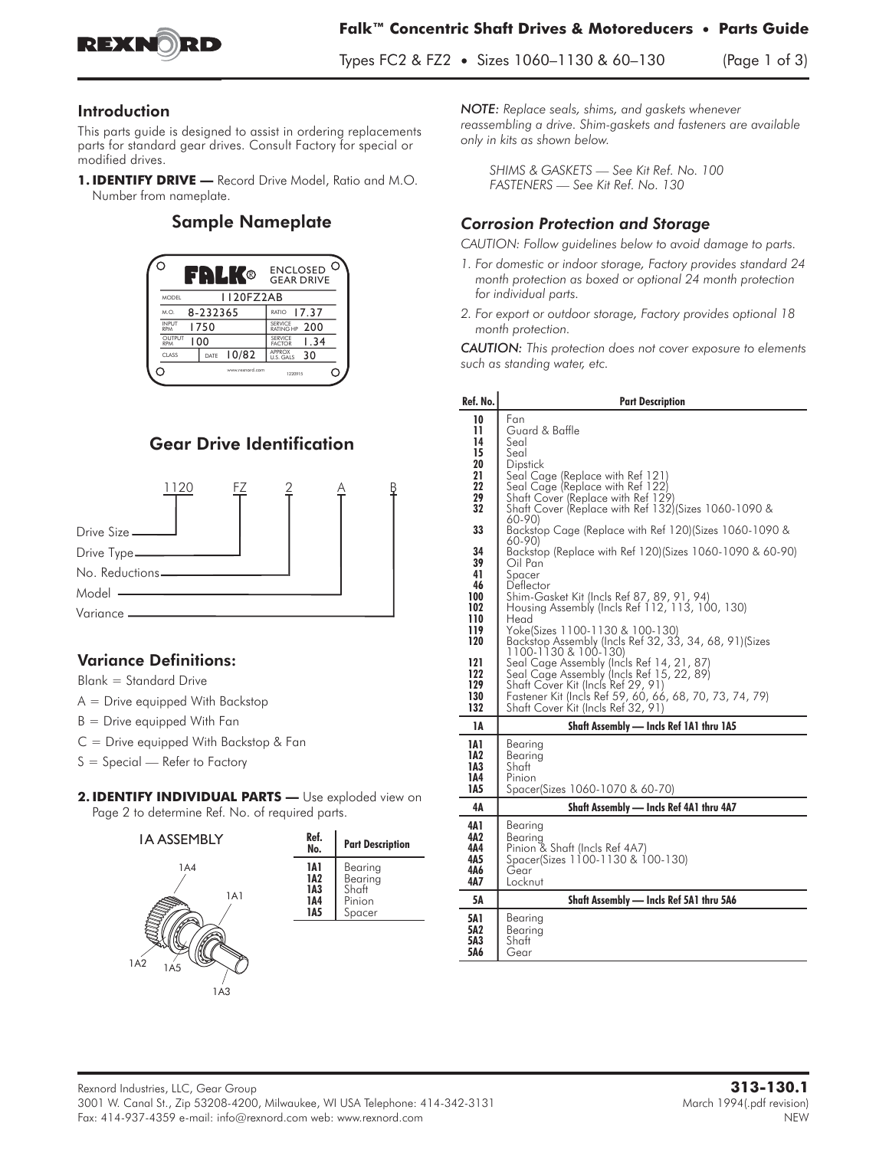

#### Introduction

This parts guide is designed to assist in ordering replacements parts for standard gear drives. Consult Factory for special or modified drives.

1. **IDENTIFY DRIVE** - Record Drive Model, Ratio and M.O. Number from nameplate.

#### Sample Nameplate



# Gear Drive Identification



### **Variance Definitions:**

**Blank = Standard Drive**

- **A = Drive equipped With Backstop**
- **B = Drive equipped With Fan**
- **C = Drive equipped With Backstop & Fan**
- **S = Special Refer to Factory**
- 2. IDENTIFY INDIVIDUAL PARTS Use exploded view on Page 2 to determine Ref. No. of required parts.



*NOTE: Replace seals, shims, and gaskets whenever reassembling a drive. Shim-gaskets and fasteners are available only in kits as shown below.*

*SHIMS & GASKETS — See Kit Ref. No. 100 FASTENERS — See Kit Ref. No. 130*

## *Corrosion Protection and Storage*

*CAUTION: Follow guidelines below to avoid damage to parts.*

- *1. For domestic or indoor storage, Factory provides standard 24 month protection as boxed or optional 24 month protection for individual parts.*
- *2. For export or outdoor storage, Factory provides optional 18 month protection.*

*CAUTION: This protection does not cover exposure to elements such as standing water, etc.*

| Ref. No.                                                                                   | <b>Part Description</b>                                                                                                                                                                                                                                                                                                                                                                                                                                                                                                                                              |
|--------------------------------------------------------------------------------------------|----------------------------------------------------------------------------------------------------------------------------------------------------------------------------------------------------------------------------------------------------------------------------------------------------------------------------------------------------------------------------------------------------------------------------------------------------------------------------------------------------------------------------------------------------------------------|
| 10<br>11<br>14<br>15<br>20<br>21<br>22<br>29<br>32                                         | Fan<br>Guard & Baffle<br>Seal<br>Seal<br>Dipstick<br>Seal Cage (Replace with Ref 121)<br>Seal Cage (Replace with Ref 122)<br>Shaft Cover (Replace with Ref 129)<br>Shaft Cover (Replace with Ref 132) (Sizes 1060-1090 &<br>$60 - 90$                                                                                                                                                                                                                                                                                                                                |
| 33                                                                                         | Backstop Cage (Replace with Ref 120) (Sizes 1060-1090 &                                                                                                                                                                                                                                                                                                                                                                                                                                                                                                              |
| 34<br>39<br>41<br>46<br>100<br>102<br>110<br>119<br>120<br>121<br>122<br>129<br>130<br>132 | 60-90)<br>Backstop (Replace with Ref 120)(Sizes 1060-1090 & 60-90)<br>Oil Pan<br>Spacer<br>Deflector<br>Shim-Gasket Kit (Incls Ref 87, 89, 91, 94)<br>Housing Assembly (Incls Ref 112, 113, 100, 130)<br>Head<br>Yoke(Sizes 1100-1130 & 100-130)<br>Backstop Assembly (Incls Ref 32, 33, 34, 68, 91) (Sizes<br>1100-1130 & 100-130)<br>Seal Cage Assembly (Incls Ref 14, 21, 87)<br>Seal Cage Assembly (Incls Ref 15, 22, 89)<br>Shaft Cover Kit (Incls Ref 29, 91)<br>Fastener Kit (Incls Ref 59, 60, 66, 68, 70, 73, 74, 79)<br>Shaft Cover Kit (Incls Ref 32, 91) |
| 1А                                                                                         | Shaft Assembly - Incls Ref 1A1 thru 1A5                                                                                                                                                                                                                                                                                                                                                                                                                                                                                                                              |
| 1A1<br>1A2<br>1A3<br>1A4<br>1A5                                                            | Bearing<br>Bearing<br>Shaft<br>Pinion<br>Spacer(Sizes 1060-1070 & 60-70)                                                                                                                                                                                                                                                                                                                                                                                                                                                                                             |
| 4Α                                                                                         | Shaft Assembly - Incls Ref 4A1 thru 4A7                                                                                                                                                                                                                                                                                                                                                                                                                                                                                                                              |
| 4A 1<br>4A2<br>4Α4<br>4A5<br>4Δ6<br>4A7                                                    | Bearing<br>Bearing<br>Pinion & Shaft (Incls Ref 4A7)<br>Spacer(Sizes 1100-1130 & 100-130)<br>Gear<br>Locknut                                                                                                                                                                                                                                                                                                                                                                                                                                                         |
| 5Α                                                                                         | Shaft Assembly - Incls Ref 5A1 thru 5A6                                                                                                                                                                                                                                                                                                                                                                                                                                                                                                                              |
| <b>5A1</b><br>5A2<br>5A3<br>5A6                                                            | Bearing<br>Bearing<br>Shaft<br>Gear                                                                                                                                                                                                                                                                                                                                                                                                                                                                                                                                  |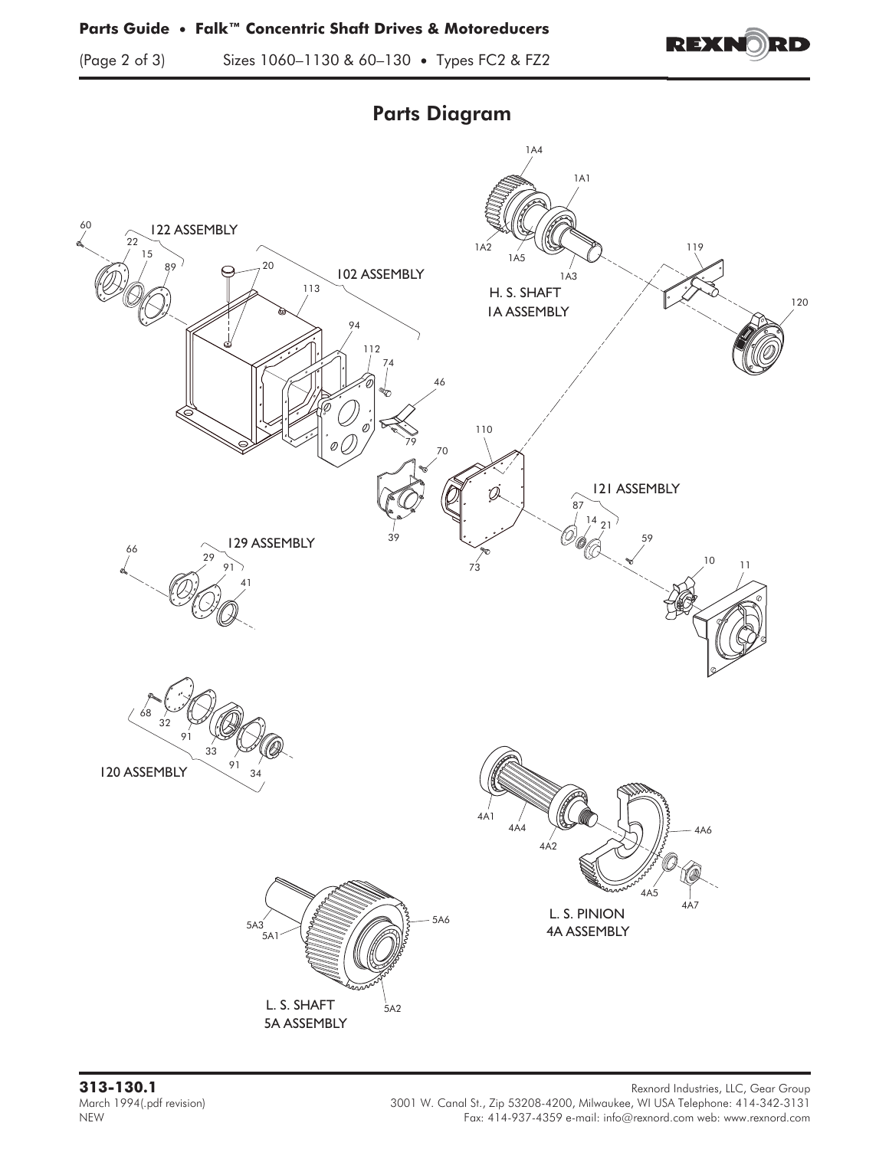(Page 2 of 3) Sizes 1060–1130 & 60–130 **•** Types FC2 & FZ2



4A ASSEMBLY 4A1 4A4 4A2 4A6 4A5 4A7 5A ASSEMBLY  $5A2$ 5A1  $5A3$   $350$ 46 60 22 122 ASSEMBLY 102 ASSEMBLY 15  $89'$   $\bigcirc$   $7^{20}$ 113 94 112 74 79 70 110 39 73 59 121 ASSEMBLY 87  $^{14}_{/}$  21 10 1A ASSEMBLY 1A4 1A2 1A1 1A3  $66$  129 ASSEMBLY 29 91 41 120 ASSEMBLY 68 32 91 91 33 34 119 120 H. S. SHAFT L. S. PINION L. S. SHAFT 1A5

Parts Diagram

**313-130.1** Rexnord Industries, LLC, Gear Group March 1994(.pdf revision) 3001 W. Canal St., Zip 53208-4200, Milwaukee, WI USA Telephone: 414-342-3131<br>Fax: 414-937-4359 e-mail: info@rexnord.com web: www.rexnord.com Fax: 414-937-4359 e-mail: info@rexnord.com web: www.rexnord.com